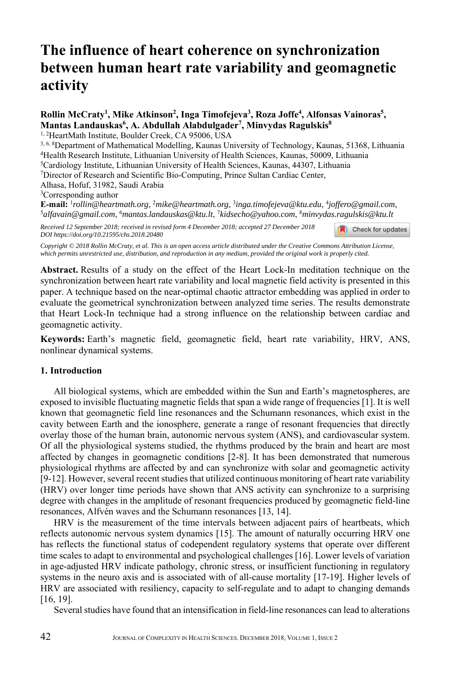# **The influence of heart coherence on synchronization between human heart rate variability and geomagnetic activity**

## Rollin McCraty<sup>1</sup>, Mike Atkinson<sup>2</sup>, Inga Timofejeva<sup>3</sup>, Roza Joffe<sup>4</sup>, Alfonsas Vainoras<sup>5</sup>, **Mantas Landauskas6 , A. Abdullah Alabdulgader7 , Minvydas Ragulskis8**

<sup>1, 2</sup>HeartMath Institute, Boulder Creek, CA 95006, USA

<sup>3, 6, 8</sup>Department of Mathematical Modelling, Kaunas University of Technology, Kaunas, 51368, Lithuania<br><sup>4</sup>Health Research Institute, Lithuanian University of Health Sciences, Kaunas, 50009, Lithuania<br><sup>5</sup>Cardiology Instit

Alhasa, Hofuf, 31982, Saudi Arabia

<sup>3</sup>Corresponding author

**E-mail:** <sup>1</sup>rollin@heartmath.org, <sup>2</sup>mike@heartmath.org, <sup>3</sup>inga.timofejeva@ktu.edu, <sup>4</sup>joffero@gmail.com,<br><sup>5</sup>alfavain@gmail.com, <sup>6</sup>mantas.landauskas@ktu.lt, <sup>7</sup>kidsecho@yahoo.com, <sup>8</sup>minvydas.ragulskis@ktu.lt

Check for updates

*Received 12 September 2018; received in revised form 4 December 2018; accepted 27 December 2018 DOI https://doi.org/10.21595/chs.2018.20480* 

*Copyright © 2018 Rollin McCraty, et al. This is an open access article distributed under the Creative Commons Attribution License, which permits unrestricted use, distribution, and reproduction in any medium, provided the original work is properly cited.*

**Abstract.** Results of a study on the effect of the Heart Lock-In meditation technique on the synchronization between heart rate variability and local magnetic field activity is presented in this paper. A technique based on the near-optimal chaotic attractor embedding was applied in order to evaluate the geometrical synchronization between analyzed time series. The results demonstrate that Heart Lock-In technique had a strong influence on the relationship between cardiac and geomagnetic activity.

**Keywords:** Earth's magnetic field, geomagnetic field, heart rate variability, HRV, ANS, nonlinear dynamical systems.

## **1. Introduction**

All biological systems, which are embedded within the Sun and Earth's magnetospheres, are exposed to invisible fluctuating magnetic fields that span a wide range of frequencies [1]. It is well known that geomagnetic field line resonances and the Schumann resonances, which exist in the cavity between Earth and the ionosphere, generate a range of resonant frequencies that directly overlay those of the human brain, autonomic nervous system (ANS), and cardiovascular system. Of all the physiological systems studied, the rhythms produced by the brain and heart are most affected by changes in geomagnetic conditions [2-8]. It has been demonstrated that numerous physiological rhythms are affected by and can synchronize with solar and geomagnetic activity [9-12]. However, several recent studies that utilized continuous monitoring of heart rate variability (HRV) over longer time periods have shown that ANS activity can synchronize to a surprising degree with changes in the amplitude of resonant frequencies produced by geomagnetic field-line resonances, Alfvén waves and the Schumann resonances [13, 14].

HRV is the measurement of the time intervals between adjacent pairs of heartbeats, which reflects autonomic nervous system dynamics [15]. The amount of naturally occurring HRV one has reflects the functional status of codependent regulatory systems that operate over different time scales to adapt to environmental and psychological challenges [16]. Lower levels of variation in age-adjusted HRV indicate pathology, chronic stress, or insufficient functioning in regulatory systems in the neuro axis and is associated with of all-cause mortality [17-19]. Higher levels of HRV are associated with resiliency, capacity to self-regulate and to adapt to changing demands [16, 19].

Several studies have found that an intensification in field-line resonances can lead to alterations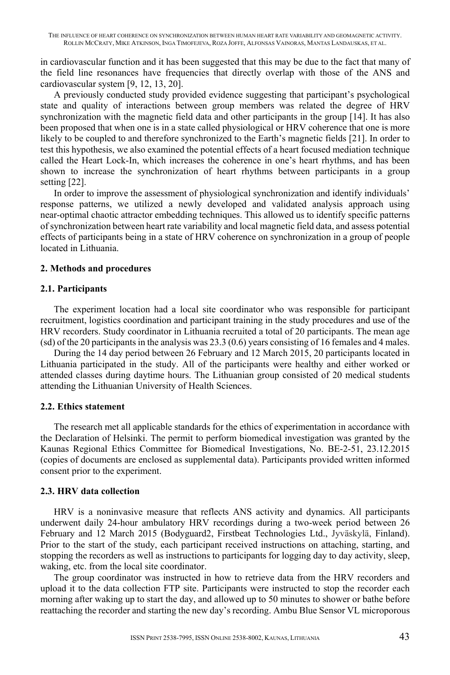in cardiovascular function and it has been suggested that this may be due to the fact that many of the field line resonances have frequencies that directly overlap with those of the ANS and cardiovascular system [9, 12, 13, 20].

A previously conducted study provided evidence suggesting that participant's psychological state and quality of interactions between group members was related the degree of HRV synchronization with the magnetic field data and other participants in the group [14]. It has also been proposed that when one is in a state called physiological or HRV coherence that one is more likely to be coupled to and therefore synchronized to the Earth's magnetic fields [21]. In order to test this hypothesis, we also examined the potential effects of a heart focused mediation technique called the Heart Lock-In, which increases the coherence in one's heart rhythms, and has been shown to increase the synchronization of heart rhythms between participants in a group setting [22].

In order to improve the assessment of physiological synchronization and identify individuals' response patterns, we utilized a newly developed and validated analysis approach using near-optimal chaotic attractor embedding techniques. This allowed us to identify specific patterns of synchronization between heart rate variability and local magnetic field data, and assess potential effects of participants being in a state of HRV coherence on synchronization in a group of people located in Lithuania.

## **2. Methods and procedures**

#### **2.1. Participants**

The experiment location had a local site coordinator who was responsible for participant recruitment, logistics coordination and participant training in the study procedures and use of the HRV recorders. Study coordinator in Lithuania recruited a total of 20 participants. The mean age (sd) of the 20 participants in the analysis was 23.3 (0.6) years consisting of 16 females and 4 males.

During the 14 day period between 26 February and 12 March 2015, 20 participants located in Lithuania participated in the study. All of the participants were healthy and either worked or attended classes during daytime hours. The Lithuanian group consisted of 20 medical students attending the Lithuanian University of Health Sciences.

## **2.2. Ethics statement**

The research met all applicable standards for the ethics of experimentation in accordance with the Declaration of Helsinki. The permit to perform biomedical investigation was granted by the Kaunas Regional Ethics Committee for Biomedical Investigations, No. BE-2-51, 23.12.2015 (copies of documents are enclosed as supplemental data). Participants provided written informed consent prior to the experiment.

## **2.3. HRV data collection**

HRV is a noninvasive measure that reflects ANS activity and dynamics. All participants underwent daily 24-hour ambulatory HRV recordings during a two-week period between 26 February and 12 March 2015 (Bodyguard2, Firstbeat Technologies Ltd., Jyväskylä, Finland). Prior to the start of the study, each participant received instructions on attaching, starting, and stopping the recorders as well as instructions to participants for logging day to day activity, sleep, waking, etc. from the local site coordinator.

The group coordinator was instructed in how to retrieve data from the HRV recorders and upload it to the data collection FTP site. Participants were instructed to stop the recorder each morning after waking up to start the day, and allowed up to 50 minutes to shower or bathe before reattaching the recorder and starting the new day's recording. Ambu Blue Sensor VL microporous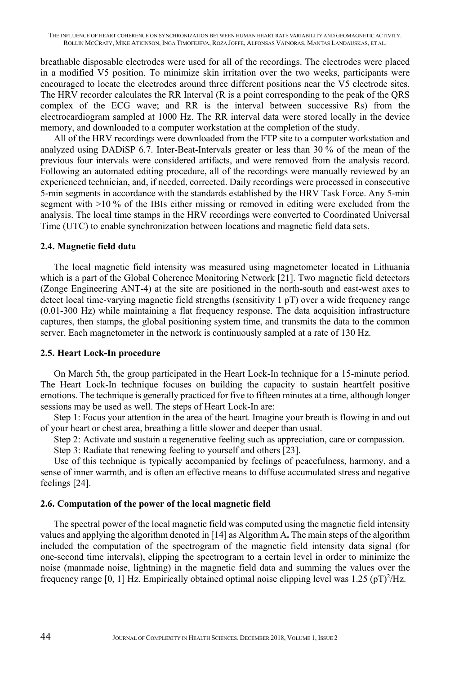breathable disposable electrodes were used for all of the recordings. The electrodes were placed in a modified V5 position. To minimize skin irritation over the two weeks, participants were encouraged to locate the electrodes around three different positions near the V5 electrode sites. The HRV recorder calculates the RR Interval (R is a point corresponding to the peak of the QRS complex of the ECG wave; and RR is the interval between successive Rs) from the electrocardiogram sampled at 1000 Hz. The RR interval data were stored locally in the device memory, and downloaded to a computer workstation at the completion of the study.

All of the HRV recordings were downloaded from the FTP site to a computer workstation and analyzed using DADiSP 6.7. Inter-Beat-Intervals greater or less than 30 % of the mean of the previous four intervals were considered artifacts, and were removed from the analysis record. Following an automated editing procedure, all of the recordings were manually reviewed by an experienced technician, and, if needed, corrected. Daily recordings were processed in consecutive 5-min segments in accordance with the standards established by the HRV Task Force. Any 5-min segment with >10 % of the IBIs either missing or removed in editing were excluded from the analysis. The local time stamps in the HRV recordings were converted to Coordinated Universal Time (UTC) to enable synchronization between locations and magnetic field data sets.

#### **2.4. Magnetic field data**

The local magnetic field intensity was measured using magnetometer located in Lithuania which is a part of the Global Coherence Monitoring Network [21]. Two magnetic field detectors (Zonge Engineering ANT-4) at the site are positioned in the north-south and east-west axes to detect local time-varying magnetic field strengths (sensitivity 1 pT) over a wide frequency range (0.01-300 Hz) while maintaining a flat frequency response. The data acquisition infrastructure captures, then stamps, the global positioning system time, and transmits the data to the common server. Each magnetometer in the network is continuously sampled at a rate of 130 Hz.

#### **2.5. Heart Lock-In procedure**

On March 5th, the group participated in the Heart Lock-In technique for a 15-minute period. The Heart Lock-In technique focuses on building the capacity to sustain heartfelt positive emotions. The technique is generally practiced for five to fifteen minutes at a time, although longer sessions may be used as well. The steps of Heart Lock-In are:

Step 1: Focus your attention in the area of the heart. Imagine your breath is flowing in and out of your heart or chest area, breathing a little slower and deeper than usual.

Step 2: Activate and sustain a regenerative feeling such as appreciation, care or compassion.

Step 3: Radiate that renewing feeling to yourself and others [23].

Use of this technique is typically accompanied by feelings of peacefulness, harmony, and a sense of inner warmth, and is often an effective means to diffuse accumulated stress and negative feelings [24].

## **2.6. Computation of the power of the local magnetic field**

The spectral power of the local magnetic field was computed using the magnetic field intensity values and applying the algorithm denoted in [14] as Algorithm A**.** The main steps of the algorithm included the computation of the spectrogram of the magnetic field intensity data signal (for one-second time intervals), clipping the spectrogram to a certain level in order to minimize the noise (manmade noise, lightning) in the magnetic field data and summing the values over the frequency range  $[0, 1]$  Hz. Empirically obtained optimal noise clipping level was  $1.25$  (pT)<sup>2</sup>/Hz.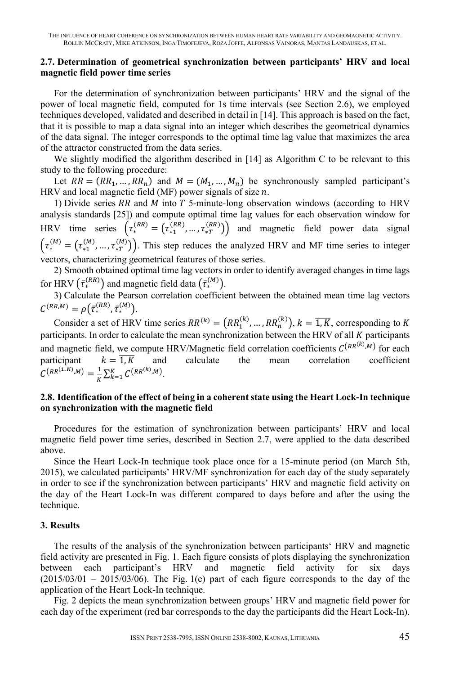## **2.7. Determination of geometrical synchronization between participants' HRV and local magnetic field power time series**

For the determination of synchronization between participants' HRV and the signal of the power of local magnetic field, computed for 1s time intervals (see Section 2.6), we employed techniques developed, validated and described in detail in [14]. This approach is based on the fact, that it is possible to map a data signal into an integer which describes the geometrical dynamics of the data signal. The integer corresponds to the optimal time lag value that maximizes the area of the attractor constructed from the data series.

We slightly modified the algorithm described in [14] as Algorithm C to be relevant to this study to the following procedure:

Let  $RR = (RR_1, ..., RR_n)$  and  $M = (M_1, ..., M_n)$  be synchronously sampled participant's HRV and local magnetic field (MF) power signals of size  $n$ .

1) Divide series RR and  $M$  into  $T$  5-minute-long observation windows (according to HRV analysis standards [25]) and compute optimal time lag values for each observation window for HRV time series  $(\tau_{*}^{(RR)} = (\tau_{*1}^{(RR)}, ..., \tau_{*T}^{(RR)}))$  and magnetic field power data signal  $(\tau_{*}^{(M)} = (\tau_{*1}^{(M)}, \dots, \tau_{*T}^{(M)})$ . This step reduces the analyzed HRV and MF time series to integer vectors, characterizing geometrical features of those series.

2) Smooth obtained optimal time lag vectors in order to identify averaged changes in time lags for HRV  $(\bar{\tau}_{*}^{(RR)})$  and magnetic field data  $(\bar{\tau}_{*}^{(M)})$ .

3) Calculate the Pearson correlation coefficient between the obtained mean time lag vectors  $C^{(RR,M)} = \rho(\bar{\tau}_*^{(RR)}, \bar{\tau}_*^{(M)}).$ 

Consider a set of HRV time series  $RR^{(k)} = (RR_1^{(k)}, ..., RR_n^{(k)}), k = \overline{1, K}$ , corresponding to K participants. In order to calculate the mean synchronization between the HRV of all  $K$  participants and magnetic field, we compute HRV/Magnetic field correlation coefficients  $C^{(RR^{(k)},M)}$  for each participant  $k = \overline{1, K}$  and calculate the mean correlation coefficient  $C^{(RR^{(1..K)},M)} = \frac{1}{K} \sum_{k=1}^{K} C^{(RR^{(k)},M)}.$ 

## **2.8. Identification of the effect of being in a coherent state using the Heart Lock-In technique on synchronization with the magnetic field**

Procedures for the estimation of synchronization between participants' HRV and local magnetic field power time series, described in Section 2.7, were applied to the data described above.

Since the Heart Lock-In technique took place once for a 15-minute period (on March 5th, 2015), we calculated participants' HRV/MF synchronization for each day of the study separately in order to see if the synchronization between participants' HRV and magnetic field activity on the day of the Heart Lock-In was different compared to days before and after the using the technique.

## **3. Results**

The results of the analysis of the synchronization between participants' HRV and magnetic field activity are presented in Fig. 1. Each figure consists of plots displaying the synchronization between each participant's HRV and magnetic field activity for six days  $(2015/03/01 - 2015/03/06)$ . The Fig. 1(e) part of each figure corresponds to the day of the application of the Heart Lock-In technique.

Fig. 2 depicts the mean synchronization between groups' HRV and magnetic field power for each day of the experiment (red bar corresponds to the day the participants did the Heart Lock-In).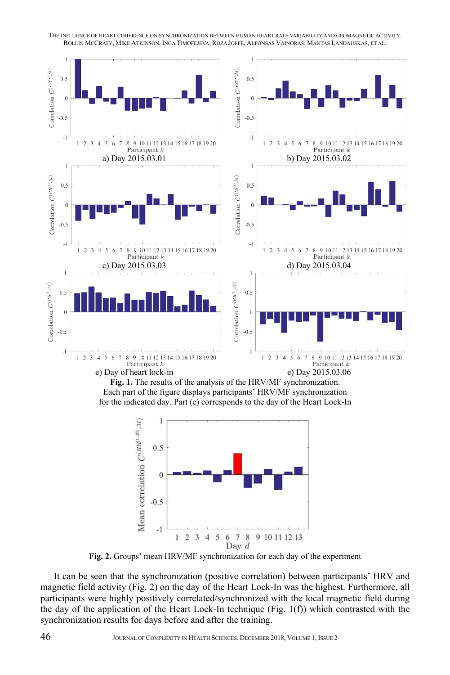

**Fig. 1.** The results of the analysis of the HRV/MF synchronization. Each part of the figure displays participants' HRV/MF synchronization for the indicated day. Part (e) corresponds to the day of the Heart Lock-In



**Fig. 2.** Groups' mean HRV/MF synchronization for each day of the experiment

It can be seen that the synchronization (positive correlation) between participants' HRV and magnetic field activity (Fig. 2) on the day of the Heart Lock-In was the highest. Furthermore, all participants were highly positively correlated/synchronized with the local magnetic field during the day of the application of the Heart Lock-In technique (Fig. 1(f)) which contrasted with the synchronization results for days before and after the training.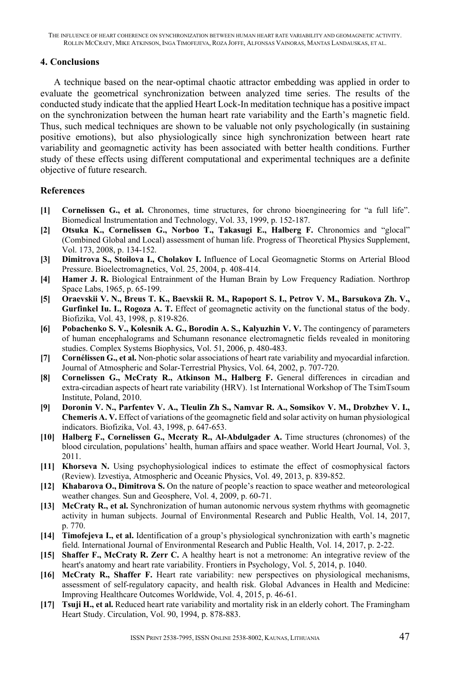### **4. Conclusions**

A technique based on the near-optimal chaotic attractor embedding was applied in order to evaluate the geometrical synchronization between analyzed time series. The results of the conducted study indicate that the applied Heart Lock-In meditation technique has a positive impact on the synchronization between the human heart rate variability and the Earth's magnetic field. Thus, such medical techniques are shown to be valuable not only psychologically (in sustaining positive emotions), but also physiologically since high synchronization between heart rate variability and geomagnetic activity has been associated with better health conditions. Further study of these effects using different computational and experimental techniques are a definite objective of future research.

## **References**

- **[1] Cornelissen G., et al.** Chronomes, time structures, for chrono bioengineering for "a full life". Biomedical Instrumentation and Technology, Vol. 33, 1999, p. 152-187.
- **[2] Otsuka K., Cornelissen G., Norboo T., Takasugi E., Halberg F.** Chronomics and "glocal" (Combined Global and Local) assessment of human life. Progress of Theoretical Physics Supplement, Vol. 173, 2008, p. 134-152.
- **[3] Dimitrova S., Stoilova I., Cholakov I.** Influence of Local Geomagnetic Storms on Arterial Blood Pressure. Bioelectromagnetics, Vol. 25, 2004, p. 408-414.
- **[4] Hamer J. R.** Biological Entrainment of the Human Brain by Low Frequency Radiation. Northrop Space Labs, 1965, p. 65-199.
- **[5] Oraevskii V. N., Breus T. K., Baevskii R. M., Rapoport S. I., Petrov V. M., Barsukova Zh. V.,**  Gurfinkel Iu. I., Rogoza A. T. Effect of geomagnetic activity on the functional status of the body. Biofizika, Vol. 43, 1998, p. 819-826.
- **[6] Pobachenko S. V., Kolesnik A. G., Borodin A. S., Kalyuzhin V. V.** The contingency of parameters of human encephalograms and Schumann resonance electromagnetic fields revealed in monitoring studies. Complex Systems Biophysics, Vol. 51, 2006, p. 480-483.
- **[7] Cornélissen G., et al.** Non-photic solar associations of heart rate variability and myocardial infarction. Journal of Atmospheric and Solar-Terrestrial Physics, Vol. 64, 2002, p. 707-720.
- **[8] Cornelissen G., McCraty R., Atkinson M., Halberg F.** General differences in circadian and extra-circadian aspects of heart rate variability (HRV). 1st International Workshop of The TsimTsoum Institute, Poland, 2010.
- **[9] Doronin V. N., Parfentev V. A., Tleulin Zh S., Namvar R. A., Somsikov V. M., Drobzhev V. I., Chemeris A. V.** Effect of variations of the geomagnetic field and solar activity on human physiological indicators. Biofizika, Vol. 43, 1998, p. 647-653.
- **[10] Halberg F., Cornelissen G., Mccraty R., Al-Abdulgader A.** Time structures (chronomes) of the blood circulation, populations' health, human affairs and space weather. World Heart Journal, Vol. 3, 2011.
- **[11] Khorseva N.** Using psychophysiological indices to estimate the effect of cosmophysical factors (Review). Izvestiya, Atmospheric and Oceanic Physics, Vol. 49, 2013, p. 839-852.
- **[12] Khabarova O., Dimitrova S.** On the nature of people's reaction to space weather and meteorological weather changes. Sun and Geosphere, Vol. 4, 2009, p. 60-71.
- **[13] McCraty R., et al.** Synchronization of human autonomic nervous system rhythms with geomagnetic activity in human subjects. Journal of Environmental Research and Public Health, Vol. 14, 2017, p. 770.
- **[14] Timofejeva I., et al.** Identification of a group's physiological synchronization with earth's magnetic field. International Journal of Environmental Research and Public Health, Vol. 14, 2017, p. 2-22.
- **[15] Shaffer F., McCraty R. Zerr C.** A healthy heart is not a metronome: An integrative review of the heart's anatomy and heart rate variability. Frontiers in Psychology, Vol. 5, 2014, p. 1040.
- **[16] McCraty R., Shaffer F.** Heart rate variability: new perspectives on physiological mechanisms, assessment of self-regulatory capacity, and health risk. Global Advances in Health and Medicine: Improving Healthcare Outcomes Worldwide, Vol. 4, 2015, p. 46-61.
- **[17] Tsuji H., et al.** Reduced heart rate variability and mortality risk in an elderly cohort. The Framingham Heart Study. Circulation, Vol. 90, 1994, p. 878-883.